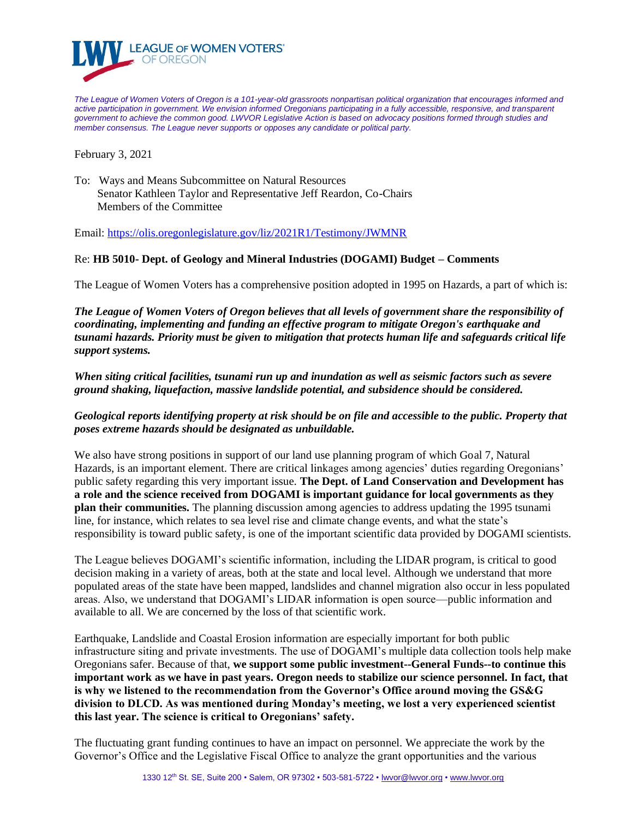

*The League of Women Voters of Oregon is a 101-year-old grassroots nonpartisan political organization that encourages informed and active participation in government. We envision informed Oregonians participating in a fully accessible, responsive, and transparent government to achieve the common good. LWVOR Legislative Action is based on advocacy positions formed through studies and member consensus. The League never supports or opposes any candidate or political party.*

February 3, 2021

To: Ways and Means Subcommittee on Natural Resources Senator Kathleen Taylor and Representative Jeff Reardon, Co-Chairs Members of the Committee

Email: <https://olis.oregonlegislature.gov/liz/2021R1/Testimony/JWMNR>

## Re: **HB 5010- Dept. of Geology and Mineral Industries (DOGAMI) Budget – Comments**

The League of Women Voters has a comprehensive position adopted in 1995 on Hazards, a part of which is:

*The League of Women Voters of Oregon believes that all levels of government share the responsibility of coordinating, implementing and funding an effective program to mitigate Oregon's earthquake and tsunami hazards. Priority must be given to mitigation that protects human life and safeguards critical life support systems.* 

*When siting critical facilities, tsunami run up and inundation as well as seismic factors such as severe ground shaking, liquefaction, massive landslide potential, and subsidence should be considered.* 

## *Geological reports identifying property at risk should be on file and accessible to the public. Property that poses extreme hazards should be designated as unbuildable.*

We also have strong positions in support of our land use planning program of which Goal 7, Natural Hazards, is an important element. There are critical linkages among agencies' duties regarding Oregonians' public safety regarding this very important issue. **The Dept. of Land Conservation and Development has a role and the science received from DOGAMI is important guidance for local governments as they plan their communities.** The planning discussion among agencies to address updating the 1995 tsunami line, for instance, which relates to sea level rise and climate change events, and what the state's responsibility is toward public safety, is one of the important scientific data provided by DOGAMI scientists.

The League believes DOGAMI's scientific information, including the LIDAR program, is critical to good decision making in a variety of areas, both at the state and local level. Although we understand that more populated areas of the state have been mapped, landslides and channel migration also occur in less populated areas. Also, we understand that DOGAMI's LIDAR information is open source—public information and available to all. We are concerned by the loss of that scientific work.

Earthquake, Landslide and Coastal Erosion information are especially important for both public infrastructure siting and private investments. The use of DOGAMI's multiple data collection tools help make Oregonians safer. Because of that, **we support some public investment--General Funds--to continue this important work as we have in past years. Oregon needs to stabilize our science personnel. In fact, that is why we listened to the recommendation from the Governor's Office around moving the GS&G division to DLCD. As was mentioned during Monday's meeting, we lost a very experienced scientist this last year. The science is critical to Oregonians' safety.** 

The fluctuating grant funding continues to have an impact on personnel. We appreciate the work by the Governor's Office and the Legislative Fiscal Office to analyze the grant opportunities and the various